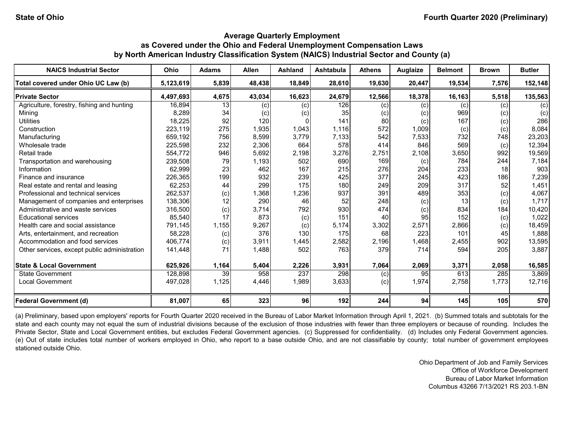| <b>NAICS Industrial Sector</b>               | Ohio      | <b>Adams</b> | <b>Allen</b> | <b>Ashland</b> | <b>Ashtabula</b> | <b>Athens</b> | Auglaize | <b>Belmont</b> | <b>Brown</b> | <b>Butler</b> |
|----------------------------------------------|-----------|--------------|--------------|----------------|------------------|---------------|----------|----------------|--------------|---------------|
| Total covered under Ohio UC Law (b)          | 5,123,619 | 5,839        | 48,438       | 18.849         | 28,610           | 19,630        | 20,447   | 19,534         | 7,576        | 152,148       |
| <b>Private Sector</b>                        | 4,497,693 | 4,675        | 43,034       | 16,623         | 24,679           | 12,566        | 18,378   | 16,163         | 5,518        | 135,563       |
| Agriculture, forestry, fishing and hunting   | 16,894    | 13           | (c)          | (c)            | 126              | (c)           | (c)      | (c)            | (c)          | (c)           |
| Mining                                       | 8,289     | 34           | (c)          | (c)            | 35               | (c)           | (c)      | 969            | (c)          | (c)           |
| <b>Utilities</b>                             | 18,225    | 92           | 120          | O              | 141              | 80            | (c)      | 167            | (c)          | 286           |
| Construction                                 | 223,119   | 275          | 1,935        | 1,043          | 1.116            | 572           | 1,009    | (c)            | (c)          | 8,084         |
| Manufacturing                                | 659,192   | 756          | 8,599        | 3,779          | 7,133            | 542           | 7,533    | 732            | 748          | 23,203        |
| Wholesale trade                              | 225,598   | 232          | 2,306        | 664            | 578              | 414           | 846      | 569            | (c)          | 12,394        |
| Retail trade                                 | 554,772   | 946          | 5,692        | 2,198          | 3,276            | 2,751         | 2,108    | 3,650          | 992          | 19,569        |
| Transportation and warehousing               | 239,508   | 79           | 1,193        | 502            | 690              | 169           | (c)      | 784            | 244          | 7,184         |
| Information                                  | 62,999    | 23           | 462          | 167            | 215              | 276           | 204      | 233            | 18           | 903           |
| Finance and insurance                        | 226,365   | 199          | 932          | 239            | 425              | 377           | 245      | 423            | 186          | 7,239         |
| Real estate and rental and leasing           | 62,253    | 44           | 299          | 175            | 180              | 249           | 209      | 317            | 52           | 1,451         |
| Professional and technical services          | 262,537   | (c)          | 1,368        | 1,236          | 937              | 391           | 489      | 353            | (c)          | 4,067         |
| Management of companies and enterprises      | 138,306   | 12           | 290          | 46             | 52               | 248           | (c)      | 13             | (c)          | 1,717         |
| Administrative and waste services            | 316,500   | (c)          | 3,714        | 792            | 930              | 474           | (c)      | 834            | 184          | 10,420        |
| <b>Educational services</b>                  | 85,540    | 17           | 873          | (c)            | 151              | 40            | 95       | 152            | (c)          | 1,022         |
| Health care and social assistance            | 791,145   | 1,155        | 9,267        | (c)            | 5,174            | 3,302         | 2,571    | 2,866          | (c)          | 18,459        |
| Arts, entertainment, and recreation          | 58,228    | (c)          | 376          | 130            | 175              | 68            | 223      | 101            | 45           | 1,888         |
| Accommodation and food services              | 406,774   | (c)          | 3,911        | 1,445          | 2,582            | 2,196         | 1,468    | 2,455          | 902          | 13,595        |
| Other services, except public administration | 141,448   | 71           | 1,488        | 502            | 763              | 379           | 714      | 594            | 205          | 3,887         |
| <b>State &amp; Local Government</b>          | 625,926   | 1,164        | 5,404        | 2,226          | 3,931            | 7,064         | 2,069    | 3,371          | 2,058        | 16,585        |
| <b>State Government</b>                      | 128,898   | 39           | 958          | 237            | 298              | (c)           | 95       | 613            | 285          | 3,869         |
| <b>Local Government</b>                      | 497,028   | 1,125        | 4,446        | 1,989          | 3,633            | (c)           | 1,974    | 2,758          | 1,773        | 12,716        |
| <b>Federal Government (d)</b>                | 81,007    | 65           | 323          | 96             | 192              | 244           | 94       | 145            | 105          | 570           |

(a) Preliminary, based upon employers' reports for Fourth Quarter 2020 received in the Bureau of Labor Market Information through April 1, 2021. (b) Summed totals and subtotals for the state and each county may not equal the sum of industrial divisions because of the exclusion of those industries with fewer than three employers or because of rounding. Includes the Private Sector, State and Local Government entities, but excludes Federal Government agencies. (c) Suppressed for confidentiality. (d) Includes only Federal Government agencies. (e) Out of state includes total number of workers employed in Ohio, who report to a base outside Ohio, and are not classifiable by county; total number of government employees stationed outside Ohio.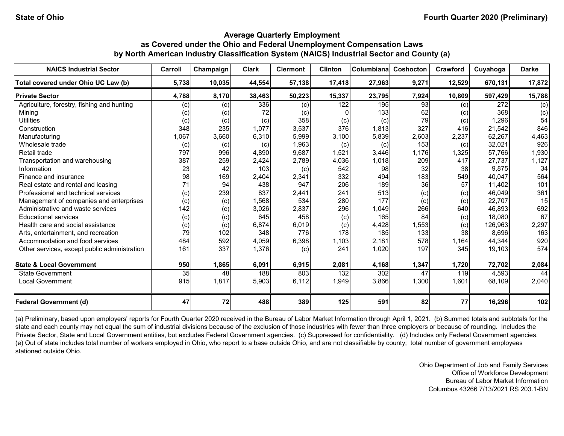| <b>NAICS Industrial Sector</b>               | Carroll | Champaign | <b>Clark</b> | <b>Clermont</b> | <b>Clinton</b> | Columbiana | Coshocton | Crawford | Cuyahoga | <b>Darke</b> |
|----------------------------------------------|---------|-----------|--------------|-----------------|----------------|------------|-----------|----------|----------|--------------|
| Total covered under Ohio UC Law (b)          | 5,738   | 10,035    | 44,554       | 57,138          | 17,418         | 27,963     | 9,271     | 12,529   | 670,131  | 17,872       |
| <b>Private Sector</b>                        | 4,788   | 8,170     | 38,463       | 50,223          | 15,337         | 23,795     | 7,924     | 10,809   | 597,429  | 15,788       |
| Agriculture, forestry, fishing and hunting   | (c)     | (c)       | 336          | (c)             | 122            | 195        | 93        | (c)      | 272      | (c)          |
| Mining                                       | (c)     | (c)       | 72           | (c)             |                | 133        | 62        | (c)      | 368      | (c)          |
| <b>Utilities</b>                             | (c)     | (c)       | (c)          | 358             | (c)            | (c)        | 79        | (c)      | 1,296    | 54           |
| Construction                                 | 348     | 235       | 1,077        | 3,537           | 376            | 1,813      | 327       | 416      | 21,542   | 846          |
| Manufacturing                                | 1,067   | 3,660     | 6,310        | 5,999           | 3,100          | 5,839      | 2,603     | 2,237    | 62,267   | 4,463        |
| Wholesale trade                              | (c)     | (c)       | (c)          | 1,963           | (c)            | (c)        | 153       | (c)      | 32,021   | 926          |
| Retail trade                                 | 797     | 996       | 4,890        | 9,687           | 1,521          | 3,446      | 1,176     | 1,325    | 57,766   | 1,930        |
| Transportation and warehousing               | 387     | 259       | 2,424        | 2,789           | 4,036          | 1,018      | 209       | 417      | 27,737   | 1,127        |
| Information                                  | 23      | 42        | 103          | (c)             | 542            | 98         | 32        | 38       | 9,875    | 34           |
| Finance and insurance                        | 98      | 169       | 2,404        | 2,341           | 332            | 494        | 183       | 549      | 40,047   | 564          |
| Real estate and rental and leasing           | 71      | 94        | 438          | 947             | 206            | 189        | 36        | 57       | 11,402   | 101          |
| Professional and technical services          | (c)     | 239       | 837          | 2,441           | 241            | 513        | (c)       | (c)      | 46,049   | 361          |
| Management of companies and enterprises      | (c)     | (c)       | 1,568        | 534             | 280            | 177        | (c)       | (c)      | 22,707   | 15           |
| Administrative and waste services            | 142     | (c)       | 3,026        | 2,837           | 296            | 1,049      | 266       | 640      | 46,893   | 692          |
| <b>Educational services</b>                  | (c)     | (c)       | 645          | 458             | (c)            | 165        | 84        | (c)      | 18,080   | 67           |
| Health care and social assistance            | (c)     | (c)       | 6,874        | 6,019           | (c)            | 4,428      | 1,553     | (c)      | 126.963  | 2,297        |
| Arts, entertainment, and recreation          | 79      | 102       | 348          | 776             | 178            | 185        | 133       | 38       | 8,696    | 163          |
| Accommodation and food services              | 484     | 592       | 4,059        | 6,398           | 1,103          | 2,181      | 578       | 1,164    | 44,344   | 920          |
| Other services, except public administration | 161     | 337       | 1,376        | (c)             | 241            | 1,020      | 197       | 345      | 19,103   | 574          |
| <b>State &amp; Local Government</b>          | 950     | 1,865     | 6,091        | 6,915           | 2,081          | 4,168      | 1,347     | 1,720    | 72,702   | 2,084        |
| State Government                             | 35      | 48        | 188          | 803             | 132            | 302        | 47        | 119      | 4,593    | 44           |
| <b>Local Government</b>                      | 915     | 1,817     | 5,903        | 6,112           | 1,949          | 3,866      | 1,300     | 1,601    | 68,109   | 2,040        |
| <b>Federal Government (d)</b>                | 47      | 72        | 488          | 389             | 125            | 591        | 82        | 77       | 16,296   | 102          |

(a) Preliminary, based upon employers' reports for Fourth Quarter 2020 received in the Bureau of Labor Market Information through April 1, 2021. (b) Summed totals and subtotals for the state and each county may not equal the sum of industrial divisions because of the exclusion of those industries with fewer than three employers or because of rounding. Includes the Private Sector, State and Local Government entities, but excludes Federal Government agencies. (c) Suppressed for confidentiality. (d) Includes only Federal Government agencies. (e) Out of state includes total number of workers employed in Ohio, who report to a base outside Ohio, and are not classifiable by county; total number of government employees stationed outside Ohio.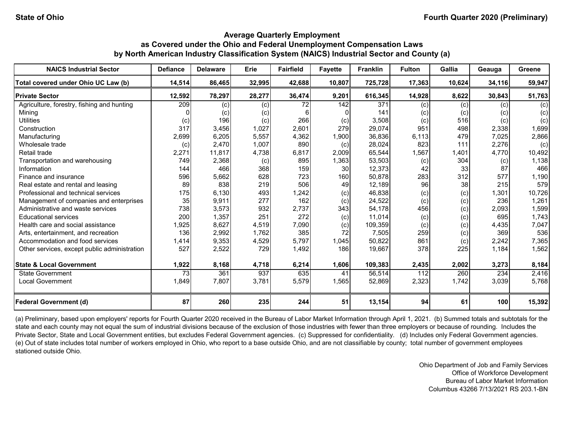| <b>NAICS Industrial Sector</b>               | <b>Defiance</b> | <b>Delaware</b> | Erie   | <b>Fairfield</b> | <b>Fayette</b> | <b>Franklin</b> | <b>Fulton</b> | Gallia | Geauga | Greene |
|----------------------------------------------|-----------------|-----------------|--------|------------------|----------------|-----------------|---------------|--------|--------|--------|
| Total covered under Ohio UC Law (b)          | 14,514          | 86,465          | 32,995 | 42,688           | 10,807         | 725,728         | 17,363        | 10,624 | 34,116 | 59,947 |
| <b>Private Sector</b>                        | 12,592          | 78,297          | 28,277 | 36,474           | 9,201          | 616,345         | 14,928        | 8,622  | 30,843 | 51,763 |
| Agriculture, forestry, fishing and hunting   | 209             | (c)             | (c)    | 72               | 142            | 371             | (c)           | (c)    | (c)    | (c)    |
| Minina                                       |                 | (c)             | (c)    | ี                |                | 141             | (c)           | (c)    | (c)    | (c)    |
| <b>Utilities</b>                             | (c)             | 196             | (c)    | 266              | (c)            | 3,508           | (c)           | 516    | (c)    | (c)    |
| Construction                                 | 317             | 3,456           | 1,027  | 2,601            | 279            | 29,074          | 951           | 498    | 2,338  | 1,699  |
| Manufacturing                                | 2,699           | 6,205           | 5,557  | 4,362            | 1,900          | 36,836          | 6,113         | 479    | 7,025  | 2,866  |
| Wholesale trade                              | (c)             | 2,470           | 1,007  | 890              | (c)            | 28,024          | 823           | 111    | 2,276  | (c)    |
| Retail trade                                 | 2,271           | 11,817          | 4,738  | 6,817            | 2,009          | 65,544          | 1,567         | 1,401  | 4,770  | 10,492 |
| Transportation and warehousing               | 749             | 2,368           | (c)    | 895              | 1,363          | 53,503          | (c)           | 304    | (c)    | 1,138  |
| Information                                  | 144             | 466             | 368    | 159              | 30             | 12,373          | 42            | 33     | 87     | 466    |
| Finance and insurance                        | 596             | 5,662           | 628    | 723              | 160            | 50,878          | 283           | 312    | 577    | 1,190  |
| Real estate and rental and leasing           | 89              | 838             | 219    | 506              | 49             | 12,189          | 96            | 38     | 215    | 579    |
| Professional and technical services          | 175             | 6,130           | 493    | 1,242            | (c)            | 46,838          | (c)           | (c)    | 1,301  | 10,726 |
| Management of companies and enterprises      | 35              | 9,911           | 277    | 162              | (c)            | 24,522          | (c)           | (c)    | 236    | 1,261  |
| Administrative and waste services            | 738             | 3,573           | 932    | 2,737            | 343            | 54,178          | 456           | (c)    | 2,093  | 1,599  |
| <b>Educational services</b>                  | 200             | 1,357           | 251    | 272              | (c)            | 11,014          | (c)           | (c)    | 695    | 1,743  |
| Health care and social assistance            | 1,925           | 8,627           | 4,519  | 7,090            | (c)            | 109,359         | (c)           | (c)    | 4,435  | 7,047  |
| Arts, entertainment, and recreation          | 136             | 2,992           | 1,762  | 385              | 72             | 7,505           | 259           | (c)    | 369    | 536    |
| Accommodation and food services              | 1,414           | 9,353           | 4,529  | 5,797            | 1,045          | 50,822          | 861           | (c)    | 2,242  | 7,365  |
| Other services, except public administration | 527             | 2,522           | 729    | 1,492            | 186            | 19,667          | 378           | 225    | 1,184  | 1,562  |
| <b>State &amp; Local Government</b>          | 1,922           | 8,168           | 4,718  | 6,214            | 1,606          | 109,383         | 2,435         | 2,002  | 3,273  | 8,184  |
| <b>State Government</b>                      | 73              | 361             | 937    | 635              | 41             | 56,514          | 112           | 260    | 234    | 2,416  |
| <b>Local Government</b>                      | 1,849           | 7,807           | 3,781  | 5,579            | 1,565          | 52,869          | 2,323         | 1,742  | 3,039  | 5,768  |
| <b>Federal Government (d)</b>                | 87              | 260             | 235    | 244              | 51             | 13,154          | 94            | 61     | 100    | 15,392 |

(a) Preliminary, based upon employers' reports for Fourth Quarter 2020 received in the Bureau of Labor Market Information through April 1, 2021. (b) Summed totals and subtotals for the state and each county may not equal the sum of industrial divisions because of the exclusion of those industries with fewer than three employers or because of rounding. Includes the Private Sector, State and Local Government entities, but excludes Federal Government agencies. (c) Suppressed for confidentiality. (d) Includes only Federal Government agencies. (e) Out of state includes total number of workers employed in Ohio, who report to a base outside Ohio, and are not classifiable by county; total number of government employees stationed outside Ohio.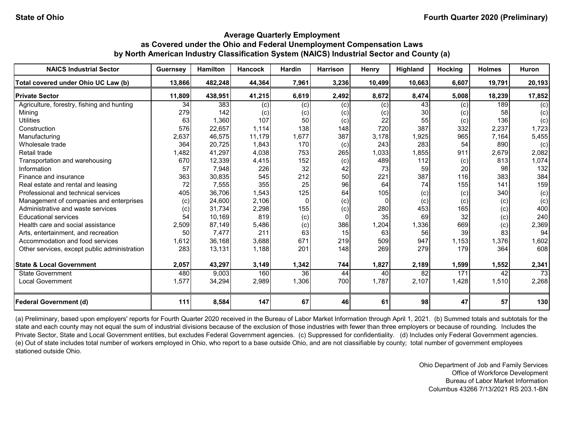| <b>NAICS Industrial Sector</b>               | <b>Guernsey</b> | <b>Hamilton</b> | <b>Hancock</b> | <b>Hardin</b> | <b>Harrison</b> | Henry    | Highland | <b>Hocking</b> | <b>Holmes</b> | <b>Huron</b> |
|----------------------------------------------|-----------------|-----------------|----------------|---------------|-----------------|----------|----------|----------------|---------------|--------------|
| Total covered under Ohio UC Law (b)          | 13,866          | 482,248         | 44,364         | 7,961         | 3,236           | 10,499   | 10,663   | 6,607          | 19,791        | 20,193       |
| <b>Private Sector</b>                        | 11,809          | 438,951         | 41,215         | 6,619         | 2,492           | 8,672    | 8,474    | 5,008          | 18,239        | 17,852       |
| Agriculture, forestry, fishing and hunting   | 34              | 383             | (c)            | (c)           | (c)             | (c)      | 43       | (c)            | 189           | (c)          |
| Mining                                       | 279             | 142             | (c)            | (c)           | (c)             | (c)      | 30       | (c)            | 58            | (c)          |
| <b>Utilities</b>                             | 63              | 1,360           | 107            | 50            | (c)             | 22       | 55       | (c)            | 136           | (c)          |
| Construction                                 | 576             | 22,657          | 1,114          | 138           | 148             | 720      | 387      | 332            | 2,237         | 1,723        |
| Manufacturing                                | 2,637           | 46,575          | 11,179         | 1,677         | 387             | 3,178    | 1,925    | 965            | 7,164         | 5,455        |
| Wholesale trade                              | 364             | 20,725          | 1,843          | 170           | (c)             | 243      | 283      | 54             | 890           | (c)          |
| Retail trade                                 | 1,482           | 41,297          | 4,038          | 753           | 265             | 1,033    | 1,855    | 911            | 2,679         | 2,082        |
| Transportation and warehousing               | 670             | 12,339          | 4,415          | 152           | (c)             | 489      | 112      | (c)            | 813           | 1,074        |
| Information                                  | 57              | 7,948           | 226            | 32            | 42              | 73       | 59       | 20             | 98            | 132          |
| Finance and insurance                        | 363             | 30,835          | 545            | 212           | 50              | 221      | 387      | 116            | 383           | 384          |
| Real estate and rental and leasing           | 72              | 7,555           | 355            | 25            | 96              | 64       | 74       | 155            | 141           | 159          |
| Professional and technical services          | 405             | 36,706          | 1,543          | 125           | 64              | 105      | (c)      | (c)            | 340           | (c)          |
| Management of companies and enterprises      | (c)             | 24,600          | 2,106          | $\Omega$      | (c)             | $\Omega$ | (c)      | (c)            | (c)           | (c)          |
| Administrative and waste services            | (c)             | 31,734          | 2,298          | 155           | (c)             | 280      | 453      | 165            | (c)           | 400          |
| <b>Educational services</b>                  | 54              | 10,169          | 819            | (c)           | $\Omega$        | 35       | 69       | 32             | (c)           | 240          |
| Health care and social assistance            | 2,509           | 87,149          | 5,486          | (c)           | 386             | 1,204    | 1,336    | 669            | $\left( $     | 2,369        |
| Arts, entertainment, and recreation          | 50              | 7,477           | 211            | 63            | 15              | 63       | 56       | 39             | 83            | 94           |
| Accommodation and food services              | 1,612           | 36,168          | 3,688          | 671           | 219             | 509      | 947      | 1,153          | 1,376         | 1,602        |
| Other services, except public administration | 283             | 13,131          | 1,188          | 201           | 148             | 269      | 279      | 179            | 364           | 608          |
| <b>State &amp; Local Government</b>          | 2,057           | 43,297          | 3,149          | 1,342         | 744             | 1,827    | 2,189    | 1,599          | 1,552         | 2,341        |
| State Government                             | 480             | 9,003           | 160            | 36            | 44              | 40       | 82       | 171            | 42            | 73           |
| <b>Local Government</b>                      | 1,577           | 34,294          | 2,989          | 1,306         | 700             | 1,787    | 2,107    | 1,428          | 1,510         | 2,268        |
| <b>Federal Government (d)</b>                | 111             | 8,584           | 147            | 67            | 46              | 61       | 98       | 47             | 57            | 130          |

(a) Preliminary, based upon employers' reports for Fourth Quarter 2020 received in the Bureau of Labor Market Information through April 1, 2021. (b) Summed totals and subtotals for the state and each county may not equal the sum of industrial divisions because of the exclusion of those industries with fewer than three employers or because of rounding. Includes the Private Sector, State and Local Government entities, but excludes Federal Government agencies. (c) Suppressed for confidentiality. (d) Includes only Federal Government agencies. (e) Out of state includes total number of workers employed in Ohio, who report to a base outside Ohio, and are not classifiable by county; total number of government employees stationed outside Ohio.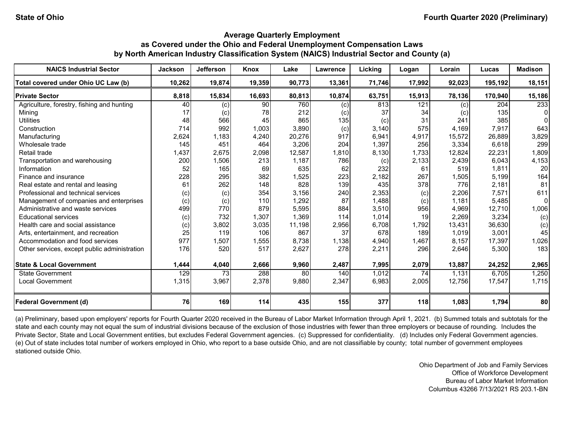| <b>NAICS Industrial Sector</b>               | <b>Jackson</b> | Jefferson         | Knox   | Lake   | <b>Lawrence</b> | Licking | Logan  | Lorain | Lucas   | <b>Madison</b> |
|----------------------------------------------|----------------|-------------------|--------|--------|-----------------|---------|--------|--------|---------|----------------|
| Total covered under Ohio UC Law (b)          | 10,262         | 19,874            | 19,359 | 90,773 | 13,361          | 71,746  | 17,992 | 92,023 | 195,192 | 18,151         |
| <b>Private Sector</b>                        | 8,818          | 15,834            | 16,693 | 80,813 | 10,874          | 63,751  | 15,913 | 78,136 | 170,940 | 15,186         |
| Agriculture, forestry, fishing and hunting   | 40             | (c)               | 90     | 760    | (c)             | 813     | 121    | (c)    | 204     | 233            |
| Mining                                       | 17             | $\left( c\right)$ | 78     | 212    | (c)             | 37      | 34     | (c)    | 135     |                |
| <b>Utilities</b>                             | 48             | 566               | 45     | 865    | 135             | (c)     | 31     | 241    | 385     |                |
| Construction                                 | 714            | 992               | 1,003  | 3,890  | (c)             | 3,140   | 575    | 4.169  | 7,917   | 643            |
| Manufacturing                                | 2,624          | 1,183             | 4,240  | 20,276 | 917             | 6,941   | 4,917  | 15,572 | 26,889  | 3,829          |
| Wholesale trade                              | 145            | 451               | 464    | 3,206  | 204             | 1,397   | 256    | 3,334  | 6,618   | 299            |
| Retail trade                                 | 1,437          | 2,675             | 2,098  | 12,587 | 1,810           | 8,130   | 1,733  | 12,824 | 22,231  | 1,809          |
| Transportation and warehousing               | 200            | 1,506             | 213    | 1,187  | 786             | (c)     | 2,133  | 2,439  | 6,043   | 4,153          |
| Information                                  | 52             | 165               | 69     | 635    | 62              | 232     | 61     | 519    | 1,811   | 20             |
| Finance and insurance                        | 228            | 295               | 382    | 1,525  | 223             | 2,182   | 267    | 1,505  | 5,199   | 164            |
| Real estate and rental and leasing           | 61             | 262               | 148    | 828    | 139             | 435     | 378    | 776    | 2,181   | 81             |
| Professional and technical services          | (c)            | (c)               | 354    | 3,156  | 240             | 2,353   | (c)    | 2,206  | 7,571   | 611            |
| Management of companies and enterprises      | (c)            | (c)               | 110    | 1,292  | 87              | 1,488   | (c)    | 1,181  | 5,485   | 0              |
| Administrative and waste services            | 499            | 770               | 879    | 5,595  | 884             | 3,510   | 956    | 4,969  | 12,710  | 1,006          |
| <b>Educational services</b>                  | (c)            | 732               | 1,307  | 1,369  | 114             | 1,014   | 19     | 2,269  | 3,234   | (c)            |
| Health care and social assistance            | (c)            | 3,802             | 3,035  | 11,198 | 2,956           | 6,708   | 1,792  | 13,431 | 36,630  | (c)            |
| Arts, entertainment, and recreation          | 25             | 119               | 106    | 867    | 37              | 678     | 189    | 1,019  | 3,001   | 45             |
| Accommodation and food services              | 977            | 1,507             | 1,555  | 8,738  | 1,138           | 4,940   | 1,467  | 8,157  | 17,397  | 1,026          |
| Other services, except public administration | 176            | 520               | 517    | 2,627  | 278             | 2,211   | 296    | 2,646  | 5,300   | 183            |
| <b>State &amp; Local Government</b>          | 1,444          | 4,040             | 2,666  | 9,960  | 2,487           | 7,995   | 2,079  | 13,887 | 24,252  | 2,965          |
| <b>State Government</b>                      | 129            | 73                | 288    | 80     | 140             | 1,012   | 74     | 1,131  | 6,705   | 1,250          |
| <b>Local Government</b>                      | 1,315          | 3,967             | 2,378  | 9,880  | 2,347           | 6,983   | 2,005  | 12,756 | 17,547  | 1,715          |
| <b>Federal Government (d)</b>                | 76             | 169               | 114    | 435    | 155             | 377     | 118    | 1,083  | 1,794   | 80             |

(a) Preliminary, based upon employers' reports for Fourth Quarter 2020 received in the Bureau of Labor Market Information through April 1, 2021. (b) Summed totals and subtotals for the state and each county may not equal the sum of industrial divisions because of the exclusion of those industries with fewer than three employers or because of rounding. Includes the Private Sector, State and Local Government entities, but excludes Federal Government agencies. (c) Suppressed for confidentiality. (d) Includes only Federal Government agencies. (e) Out of state includes total number of workers employed in Ohio, who report to a base outside Ohio, and are not classifiable by county; total number of government employees stationed outside Ohio.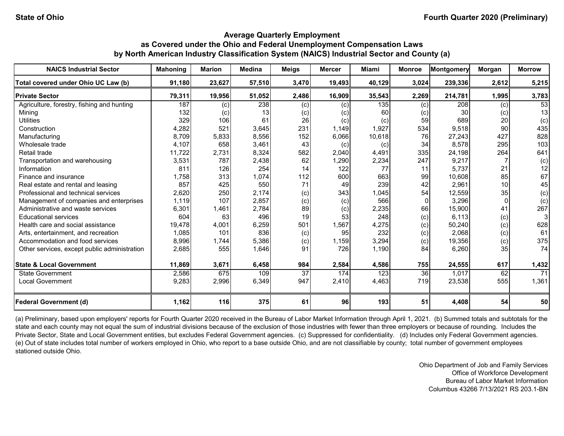| <b>NAICS Industrial Sector</b>               | <b>Mahoning</b> | <b>Marion</b> | <b>Medina</b> | <b>Meigs</b> | <b>Mercer</b> | Miami  | <b>Monroe</b> | Montgomery | Morgan          | <b>Morrow</b> |
|----------------------------------------------|-----------------|---------------|---------------|--------------|---------------|--------|---------------|------------|-----------------|---------------|
| Total covered under Ohio UC Law (b)          | 91,180          | 23,627        | 57,510        | 3,470        | 19,493        | 40,129 | 3,024         | 239,336    | 2,612           | 5,215         |
| <b>Private Sector</b>                        | 79,311          | 19,956        | 51,052        | 2,486        | 16,909        | 35,543 | 2,269         | 214,781    | 1,995           | 3,783         |
| Agriculture, forestry, fishing and hunting   | 187             | (c)           | 238           | (c)          | (c)           | 135    | (c)           | 208        | (c)             | 53            |
| Mining                                       | 132             | (c)           | 13            | (c)          | (c)           | 60     |               | 30         | (c)             | 13            |
| <b>Utilities</b>                             | 329             | 106           | 61            | 26           | (c)           | (c)    | 59            | 689        | 20              | (c)           |
| Construction                                 | 4,282           | 521           | 3,645         | 231          | 1,149         | 1,927  | 534           | 9,518      | 90              | 435           |
| Manufacturing                                | 8,709           | 5,833         | 8,556         | 152          | 6,066         | 10,618 | 76            | 27,243     | 427             | 828           |
| Wholesale trade                              | 4,107           | 658           | 3,461         | 43           | (c)           | (c)    | 34            | 8,578      | 295             | 103           |
| Retail trade                                 | 11,722          | 2,731         | 8,324         | 582          | 2,040         | 4,491  | 335           | 24,198     | 264             | 641           |
| Transportation and warehousing               | 3,531           | 787           | 2,438         | 62           | 1,290         | 2,234  | 247           | 9,217      |                 | (c)           |
| Information                                  | 811             | 126           | 254           | 14           | 122           | 77     | 11            | 5.737      | 21              | 12            |
| Finance and insurance                        | 1.758           | 313           | 1,074         | 112          | 600           | 663    | 99            | 10,608     | 85              | 67            |
| Real estate and rental and leasing           | 857             | 425           | 550           | 71           | 49            | 239    | 42            | 2,961      | 10 <sup>1</sup> | 45            |
| Professional and technical services          | 2,620           | 250           | 2,174         | (c)          | 343           | 1,045  | 54            | 12,559     | 35              | (c)           |
| Management of companies and enterprises      | 1,119           | 107           | 2,857         | (c)          | (c)           | 566    |               | 3,296      | $\Omega$        | (c)           |
| Administrative and waste services            | 6,301           | 1,461         | 2,784         | 89           | (c)           | 2,235  | 66            | 15,900     | 41              | 267           |
| <b>Educational services</b>                  | 604             | 63            | 496           | 19           | 53            | 248    | (c)           | 6.113      | (c)             |               |
| Health care and social assistance            | 19,478          | 4,001         | 6,259         | 501          | 1,567         | 4,275  | (c)           | 50,240     | (c)             | 628           |
| Arts, entertainment, and recreation          | 1,085           | 101           | 836           | (c)          | 95            | 232    | (c)           | 2,068      | (c)             | 61            |
| Accommodation and food services              | 8,996           | 1,744         | 5,386         | (c)          | 1,159         | 3,294  | (c)           | 19,356     | (c)             | 375           |
| Other services, except public administration | 2,685           | 555           | 1,646         | 91           | 726           | 1,190  | 84            | 6,260      | 35 <sub>l</sub> | 74            |
| <b>State &amp; Local Government</b>          | 11,869          | 3,671         | 6,458         | 984          | 2,584         | 4,586  | 755           | 24,555     | 617             | 1,432         |
| State Government                             | 2,586           | 675           | 109           | 37           | 174           | 123    | 36            | 1,017      | 62              | 71            |
| <b>Local Government</b>                      | 9,283           | 2,996         | 6,349         | 947          | 2,410         | 4,463  | 719           | 23,538     | 555             | 1,361         |
| <b>Federal Government (d)</b>                | 1,162           | <b>116</b>    | 375           | 61           | 96            | 193    | 51            | 4,408      | 54              | 50            |

(a) Preliminary, based upon employers' reports for Fourth Quarter 2020 received in the Bureau of Labor Market Information through April 1, 2021. (b) Summed totals and subtotals for the state and each county may not equal the sum of industrial divisions because of the exclusion of those industries with fewer than three employers or because of rounding. Includes the Private Sector, State and Local Government entities, but excludes Federal Government agencies. (c) Suppressed for confidentiality. (d) Includes only Federal Government agencies. (e) Out of state includes total number of workers employed in Ohio, who report to a base outside Ohio, and are not classifiable by county; total number of government employees stationed outside Ohio.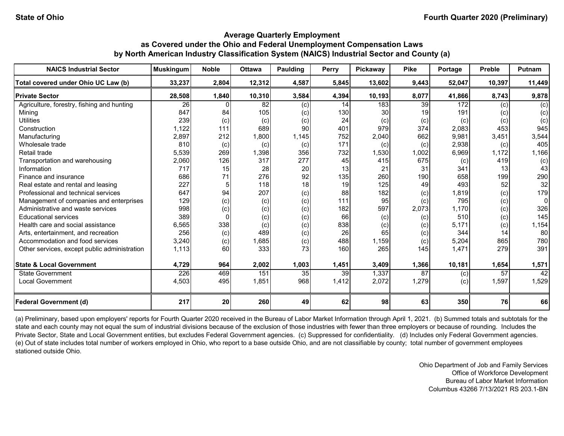| <b>NAICS Industrial Sector</b>               | <b>Muskingum</b> | <b>Noble</b> | <b>Ottawa</b> | Paulding | <b>Perry</b>    | <b>Pickaway</b> | <b>Pike</b> | Portage | <b>Preble</b> | <b>Putnam</b> |
|----------------------------------------------|------------------|--------------|---------------|----------|-----------------|-----------------|-------------|---------|---------------|---------------|
| Total covered under Ohio UC Law (b)          | 33,237           | 2,804        | 12,312        | 4,587    | 5,845           | 13,602          | 9,443       | 52,047  | 10,397        | 11,449        |
| <b>Private Sector</b>                        | 28,508           | 1,840        | 10,310        | 3,584    | 4,394           | 10,193          | 8,077       | 41,866  | 8,743         | 9,878         |
| Agriculture, forestry, fishing and hunting   | $\overline{26}$  |              | 82            | (c)      | 14              | 183             | 39          | 172     | (c)           | (c)           |
| Mining                                       | 847              | 84           | 105           | (c)      | 130             | 30              | 19          | 191     | (c)           | (c)           |
| <b>Utilities</b>                             | 239              | (c)          | (c)           | (c)      | 24              | (c)             | (c)         | (c)     | (c)           | (c)           |
| Construction                                 | 1,122            | 111          | 689           | 90       | 401             | 979             | 374         | 2,083   | 453           | 945           |
| Manufacturing                                | 2,897            | 212          | 1,800         | 1,145    | 752             | 2,040           | 662         | 9,981   | 3,451         | 3,544         |
| Wholesale trade                              | 810              | (c)          | (c)           | (c)      | 171             | (c)             | (c)         | 2,938   | (c)           | 405           |
| Retail trade                                 | 5,539            | 269          | 1,398         | 356      | 732             | 1,530           | 1,002       | 6,969   | 1,172         | 1,166         |
| Transportation and warehousing               | 2,060            | 126          | 317           | 277      | 45              | 415             | 675         | (c)     | 419           | (c)           |
| Information                                  | 717              | 15           | 28            | 20       | 13              | 21              | 31          | 341     | 13            | 43            |
| Finance and insurance                        | 686              | 71           | 276           | 92       | 135             | 260             | 190         | 658     | 199           | 290           |
| Real estate and rental and leasing           | 227              | 5            | 118           | 18       | 19              | 125             | 49          | 493     | 52            | 32            |
| Professional and technical services          | 647              | 94           | 207           | (c)      | 88              | 182             | (c)         | 1,819   | (c)           | 179           |
| Management of companies and enterprises      | 129              | (c)          | (c)           | (c)      | 111             | 95              | (c)         | 795     | (c)           | 0             |
| Administrative and waste services            | 998              | (c)          | (c)           | (c)      | 182             | 597             | 2,073       | 1,170   | (c)           | 326           |
| <b>Educational services</b>                  | 389              |              | (c)           | (c)      | 66              | (c)             | (c)         | 510     | (c)           | 145           |
| Health care and social assistance            | 6,565            | 338          | (c)           | (c)      | 838             | (c)             | (c)         | 5.171   | (c)           | 1,154         |
| Arts, entertainment, and recreation          | 256              | (c)          | 489           | (c)      | 26              | 65              | (c)         | 344     | 14            | 80            |
| Accommodation and food services              | 3,240            | (c)          | 1,685         | (c)      | 488             | 1,159           | (c)         | 5,204   | 865           | 780           |
| Other services, except public administration | 1,113            | 60           | 333           | 73       | 160             | 265             | 145         | 1,471   | 279           | 391           |
| <b>State &amp; Local Government</b>          | 4,729            | 964          | 2,002         | 1,003    | 1,451           | 3,409           | 1,366       | 10,181  | 1,654         | 1,571         |
| State Government                             | 226              | 469          | 151           | 35       | $\overline{39}$ | 1,337           | 87          | (c)     | 57            | 42            |
| <b>Local Government</b>                      | 4,503            | 495          | 1,851         | 968      | 1,412           | 2,072           | 1,279       | (c)     | 1,597         | 1,529         |
| <b>Federal Government (d)</b>                | 217              | 20           | 260           | 49       | 62              | 98              | 63          | 350     | 76            | 66            |

(a) Preliminary, based upon employers' reports for Fourth Quarter 2020 received in the Bureau of Labor Market Information through April 1, 2021. (b) Summed totals and subtotals for the state and each county may not equal the sum of industrial divisions because of the exclusion of those industries with fewer than three employers or because of rounding. Includes the Private Sector, State and Local Government entities, but excludes Federal Government agencies. (c) Suppressed for confidentiality. (d) Includes only Federal Government agencies. (e) Out of state includes total number of workers employed in Ohio, who report to a base outside Ohio, and are not classifiable by county; total number of government employees stationed outside Ohio.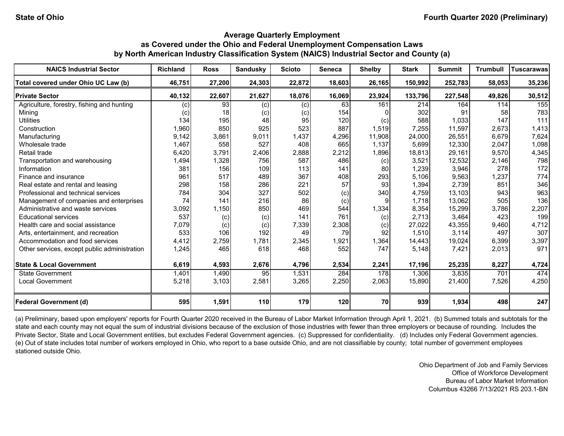| <b>NAICS Industrial Sector</b>               | <b>Richland</b> | <b>Ross</b> | <b>Sandusky</b> | <b>Scioto</b> | <b>Seneca</b> | <b>Shelby</b> | <b>Stark</b> | <b>Summit</b> | <b>Trumbull</b> | <b>Tuscarawas</b> |
|----------------------------------------------|-----------------|-------------|-----------------|---------------|---------------|---------------|--------------|---------------|-----------------|-------------------|
| Total covered under Ohio UC Law (b)          | 46,751          | 27,200      | 24,303          | 22,872        | 18,603        | 26,165        | 150,992      | 252,783       | 58,053          | 35,236            |
| <b>Private Sector</b>                        | 40,132          | 22,607      | 21,627          | 18,076        | 16,069        | 23,924        | 133,796      | 227,548       | 49,826          | 30,512            |
| Agriculture, forestry, fishing and hunting   | (c)             | 93          | (c)             | (c)           | 63            | 161           | 214          | 164           | 114             | 155               |
| Minina                                       | $\left( $       | 18          | (c)             | (c)           | 154           |               | 302          | 91            | 58              | 783               |
| <b>Utilities</b>                             | 134             | 195         | 48              | 95            | 120           | (c)           | 588          | 1,033         | 147             | 111               |
| Construction                                 | 1,960           | 850         | 925             | 523           | 887           | 1,519         | 7,255        | 11,597        | 2,673           | 1,413             |
| Manufacturing                                | 9,142           | 3,861       | 9,011           | 1,437         | 4,296         | 11,908        | 24,000       | 26,551        | 6,679           | 7,624             |
| Wholesale trade                              | 1,467           | 558         | 527             | 408           | 665           | 1,137         | 5,699        | 12,330        | 2,047           | 1,098             |
| Retail trade                                 | 6,420           | 3,791       | 2,406           | 2,888         | 2,212         | 1,896         | 18,813       | 29,161        | 9,570           | 4,345             |
| Transportation and warehousing               | 1,494           | 1,328       | 756             | 587           | 486           | (c)           | 3,521        | 12,532        | 2,146           | 798               |
| Information                                  | 381             | 156         | 109             | 113           | 141           | 80            | 1,239        | 3,946         | 278             | 172               |
| Finance and insurance                        | 961             | 517         | 489             | 367           | 408           | 293           | 5,106        | 9,563         | 1,237           | 774               |
| Real estate and rental and leasing           | 298             | 158         | 286             | 221           | 57            | 93            | 1,394        | 2,739         | 851             | 346               |
| Professional and technical services          | 784             | 304         | 327             | 502           | (c)           | 340           | 4,759        | 13,103        | 943             | 963               |
| Management of companies and enterprises      | 74              | 141         | 216             | 86            | (c)           | g             | 1,718        | 13,062        | 505             | 136               |
| Administrative and waste services            | 3,092           | 1,150       | 850             | 469           | 544           | 1,334         | 8,354        | 15,299        | 3,786           | 2,207             |
| <b>Educational services</b>                  | 537             | (c)         | (c)             | 141           | 761           | (c)           | 2,713        | 3,464         | 423             | 199               |
| Health care and social assistance            | 7,079           | (c)         | (c)             | 7,339         | 2,308         | (c)           | 27,022       | 43,355        | 9,460           | 4,712             |
| Arts, entertainment, and recreation          | 533             | 106         | 192             | 49            | 79            | 92            | 1,510        | 3,114         | 497             | 307               |
| Accommodation and food services              | 4,412           | 2,759       | 1,781           | 2,345         | 1,921         | 1,364         | 14,443       | 19,024        | 6,399           | 3,397             |
| Other services, except public administration | 1,245           | 465         | 618             | 468           | 552           | 747           | 5,148        | 7,421         | 2,013           | 971               |
| <b>State &amp; Local Government</b>          | 6,619           | 4,593       | 2,676           | 4,796         | 2,534         | 2,241         | 17,196       | 25,235        | 8,227           | 4,724             |
| <b>State Government</b>                      | 1,401           | 1,490       | 95              | 1,531         | 284           | 178           | 1,306        | 3,835         | 701             | 474               |
| <b>Local Government</b>                      | 5,218           | 3,103       | 2,581           | 3,265         | 2,250         | 2,063         | 15,890       | 21,400        | 7,526           | 4,250             |
| <b>Federal Government (d)</b>                | 595             | 1,591       | <b>110</b>      | 179           | 120           | 70            | 939          | 1,934         | 498             | 247               |

(a) Preliminary, based upon employers' reports for Fourth Quarter 2020 received in the Bureau of Labor Market Information through April 1, 2021. (b) Summed totals and subtotals for the state and each county may not equal the sum of industrial divisions because of the exclusion of those industries with fewer than three employers or because of rounding. Includes the Private Sector, State and Local Government entities, but excludes Federal Government agencies. (c) Suppressed for confidentiality. (d) Includes only Federal Government agencies. (e) Out of state includes total number of workers employed in Ohio, who report to a base outside Ohio, and are not classifiable by county; total number of government employees stationed outside Ohio.